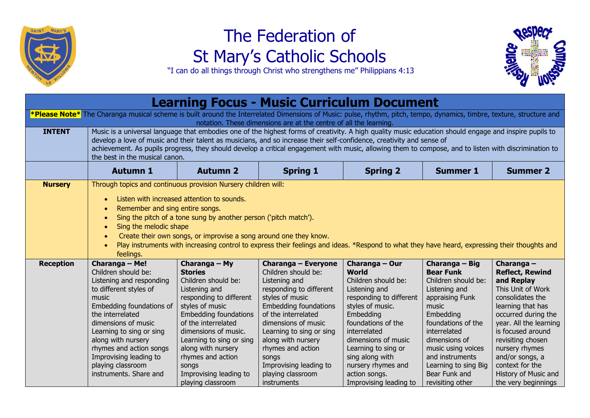

## The Federation of St Mary's Catholic Schools



"I can do all things through Christ who strengthens me" Philippians 4:13

| <b>Learning Focus - Music Curriculum Document</b>                                                                                                                                                                                          |                                                                                                                                                                                                                                                                                                                                                                                                                                                                                                            |                                                                                                                                                                                                                                                                                                                                     |                                                                                                                                                                                                                                                                                                                                       |                                                                                                                                                                                                                                                                                                            |                                                                                                                                                                                                                                                                                  |                                                                                                                                                                                                                                                                                                                      |  |
|--------------------------------------------------------------------------------------------------------------------------------------------------------------------------------------------------------------------------------------------|------------------------------------------------------------------------------------------------------------------------------------------------------------------------------------------------------------------------------------------------------------------------------------------------------------------------------------------------------------------------------------------------------------------------------------------------------------------------------------------------------------|-------------------------------------------------------------------------------------------------------------------------------------------------------------------------------------------------------------------------------------------------------------------------------------------------------------------------------------|---------------------------------------------------------------------------------------------------------------------------------------------------------------------------------------------------------------------------------------------------------------------------------------------------------------------------------------|------------------------------------------------------------------------------------------------------------------------------------------------------------------------------------------------------------------------------------------------------------------------------------------------------------|----------------------------------------------------------------------------------------------------------------------------------------------------------------------------------------------------------------------------------------------------------------------------------|----------------------------------------------------------------------------------------------------------------------------------------------------------------------------------------------------------------------------------------------------------------------------------------------------------------------|--|
| *Please Note* The Charanga musical scheme is built around the Interrelated Dimensions of Music: pulse, rhythm, pitch, tempo, dynamics, timbre, texture, structure and<br>notation. These dimensions are at the centre of all the learning. |                                                                                                                                                                                                                                                                                                                                                                                                                                                                                                            |                                                                                                                                                                                                                                                                                                                                     |                                                                                                                                                                                                                                                                                                                                       |                                                                                                                                                                                                                                                                                                            |                                                                                                                                                                                                                                                                                  |                                                                                                                                                                                                                                                                                                                      |  |
| <b>INTENT</b>                                                                                                                                                                                                                              | Music is a universal language that embodies one of the highest forms of creativity. A high quality music education should engage and inspire pupils to<br>develop a love of music and their talent as musicians, and so increase their self-confidence, creativity and sense of<br>achievement. As pupils progress, they should develop a critical engagement with music, allowing them to compose, and to listen with discrimination to<br>the best in the musical canon.                                 |                                                                                                                                                                                                                                                                                                                                     |                                                                                                                                                                                                                                                                                                                                       |                                                                                                                                                                                                                                                                                                            |                                                                                                                                                                                                                                                                                  |                                                                                                                                                                                                                                                                                                                      |  |
|                                                                                                                                                                                                                                            | <b>Autumn 1</b>                                                                                                                                                                                                                                                                                                                                                                                                                                                                                            | <b>Autumn 2</b>                                                                                                                                                                                                                                                                                                                     | <b>Spring 1</b>                                                                                                                                                                                                                                                                                                                       | <b>Spring 2</b>                                                                                                                                                                                                                                                                                            | <b>Summer 1</b>                                                                                                                                                                                                                                                                  | <b>Summer 2</b>                                                                                                                                                                                                                                                                                                      |  |
| <b>Nursery</b>                                                                                                                                                                                                                             | Through topics and continuous provision Nursery children will:<br>Listen with increased attention to sounds.<br>Remember and sing entire songs.<br>Sing the pitch of a tone sung by another person ('pitch match').<br>$\bullet$<br>Sing the melodic shape<br>$\bullet$<br>Create their own songs, or improvise a song around one they know.<br>Play instruments with increasing control to express their feelings and ideas. *Respond to what they have heard, expressing their thoughts and<br>feelings. |                                                                                                                                                                                                                                                                                                                                     |                                                                                                                                                                                                                                                                                                                                       |                                                                                                                                                                                                                                                                                                            |                                                                                                                                                                                                                                                                                  |                                                                                                                                                                                                                                                                                                                      |  |
| <b>Reception</b>                                                                                                                                                                                                                           | Charanga - Me!<br>Children should be:<br>Listening and responding<br>to different styles of<br>music<br>Embedding foundations of<br>the interrelated<br>dimensions of music<br>Learning to sing or sing<br>along with nursery<br>rhymes and action songs<br>Improvising leading to<br>playing classroom<br>instruments. Share and                                                                                                                                                                          | Charanga - My<br><b>Stories</b><br>Children should be:<br>Listening and<br>responding to different<br>styles of music<br><b>Embedding foundations</b><br>of the interrelated<br>dimensions of music.<br>Learning to sing or sing<br>along with nursery<br>rhymes and action<br>songs<br>Improvising leading to<br>playing classroom | Charanga - Everyone<br>Children should be:<br>Listening and<br>responding to different<br>styles of music<br><b>Embedding foundations</b><br>of the interrelated<br>dimensions of music<br>Learning to sing or sing<br>along with nursery<br>rhymes and action<br>songs<br>Improvising leading to<br>playing classroom<br>instruments | Charanga - Our<br><b>World</b><br>Children should be:<br>Listening and<br>responding to different<br>styles of music.<br>Embedding<br>foundations of the<br>interrelated<br>dimensions of music<br>Learning to sing or<br>sing along with<br>nursery rhymes and<br>action songs.<br>Improvising leading to | Charanga - Big<br><b>Bear Funk</b><br>Children should be:<br>Listening and<br>appraising Funk<br>music<br>Embedding<br>foundations of the<br>interrelated<br>dimensions of<br>music using voices<br>and instruments<br>Learning to sing Big<br>Bear Funk and<br>revisiting other | Charanga $-$<br><b>Reflect, Rewind</b><br>and Replay<br>This Unit of Work<br>consolidates the<br>learning that has<br>occurred during the<br>year. All the learning<br>is focused around<br>revisiting chosen<br>nursery rhymes<br>and/or songs, a<br>context for the<br>History of Music and<br>the very beginnings |  |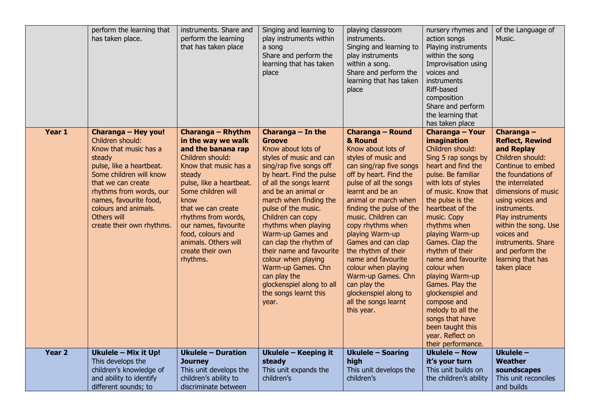|                   | perform the learning that<br>has taken place.                                                                                                                                                                                                                                    | instruments. Share and<br>perform the learning<br>that has taken place                                                                                                                                                                                                                                                           | Singing and learning to<br>play instruments within<br>a song<br>Share and perform the<br>learning that has taken<br>place                                                                                                                                                                                                                                                                                                                                                                  | playing classroom<br>instruments.<br>Singing and learning to<br>play instruments<br>within a song.<br>Share and perform the<br>learning that has taken<br>place                                                                                                                                                                                                                                                                                                                               | nursery rhymes and<br>action songs<br>Playing instruments<br>within the song<br>Improvisation using<br>voices and<br>instruments<br>Riff-based<br>composition<br>Share and perform<br>the learning that<br>has taken place                                                                                                                                                                                                                                                                                                     | of the Language of<br>Music.                                                                                                                                                                                                                                                                                                            |
|-------------------|----------------------------------------------------------------------------------------------------------------------------------------------------------------------------------------------------------------------------------------------------------------------------------|----------------------------------------------------------------------------------------------------------------------------------------------------------------------------------------------------------------------------------------------------------------------------------------------------------------------------------|--------------------------------------------------------------------------------------------------------------------------------------------------------------------------------------------------------------------------------------------------------------------------------------------------------------------------------------------------------------------------------------------------------------------------------------------------------------------------------------------|-----------------------------------------------------------------------------------------------------------------------------------------------------------------------------------------------------------------------------------------------------------------------------------------------------------------------------------------------------------------------------------------------------------------------------------------------------------------------------------------------|--------------------------------------------------------------------------------------------------------------------------------------------------------------------------------------------------------------------------------------------------------------------------------------------------------------------------------------------------------------------------------------------------------------------------------------------------------------------------------------------------------------------------------|-----------------------------------------------------------------------------------------------------------------------------------------------------------------------------------------------------------------------------------------------------------------------------------------------------------------------------------------|
| Year 1            | Charanga - Hey you!<br>Children should:<br>Know that music has a<br>steady<br>pulse, like a heartbeat.<br>Some children will know<br>that we can create<br>rhythms from words, our<br>names, favourite food,<br>colours and animals.<br>Others will<br>create their own rhythms. | Charanga - Rhythm<br>in the way we walk<br>and the banana rap<br>Children should:<br>Know that music has a<br>steady<br>pulse, like a heartbeat.<br>Some children will<br>know<br>that we can create<br>rhythms from words,<br>our names, favourite<br>food, colours and<br>animals. Others will<br>create their own<br>rhythms. | Charanga - In the<br>Groove<br>Know about lots of<br>styles of music and can<br>sing/rap five songs off<br>by heart. Find the pulse<br>of all the songs learnt<br>and be an animal or<br>march when finding the<br>pulse of the music.<br>Children can copy<br>rhythms when playing<br>Warm-up Games and<br>can clap the rhythm of<br>their name and favourite<br>colour when playing<br>Warm-up Games. Chn<br>can play the<br>glockenspiel along to all<br>the songs learnt this<br>year. | Charanga - Round<br>& Round<br>Know about lots of<br>styles of music and<br>can sing/rap five songs<br>off by heart. Find the<br>pulse of all the songs<br>learnt and be an<br>animal or march when<br>finding the pulse of the<br>music. Children can<br>copy rhythms when<br>playing Warm-up<br>Games and can clap<br>the rhythm of their<br>name and favourite<br>colour when playing<br>Warm-up Games. Chn<br>can play the<br>glockenspiel along to<br>all the songs learnt<br>this year. | <b>Charanga - Your</b><br>imagination<br>Children should:<br>Sing 5 rap songs by<br>heart and find the<br>pulse. Be familiar<br>with lots of styles<br>of music. Know that<br>the pulse is the<br>heartbeat of the<br>music. Copy<br>rhythms when<br>playing Warm-up<br>Games. Clap the<br>rhythm of their<br>name and favourite<br>colour when<br>playing Warm-up<br>Games. Play the<br>glockenspiel and<br>compose and<br>melody to all the<br>songs that have<br>been taught this<br>year. Reflect on<br>their performance. | Charanga -<br><b>Reflect, Rewind</b><br>and Replay<br>Children should:<br>Continue to embed<br>the foundations of<br>the interrelated<br>dimensions of music<br>using voices and<br>instruments.<br>Play instruments<br>within the song. Use<br>voices and<br>instruments. Share<br>and perform the<br>learning that has<br>taken place |
| Year <sub>2</sub> | Ukulele - Mix it Up!<br>This develops the<br>children's knowledge of<br>and ability to identify                                                                                                                                                                                  | <b>Ukulele - Duration</b><br><b>Journey</b><br>This unit develops the<br>children's ability to                                                                                                                                                                                                                                   | Ukulele - Keeping it<br>steady<br>This unit expands the<br>children's                                                                                                                                                                                                                                                                                                                                                                                                                      | <b>Ukulele - Soaring</b><br>high<br>This unit develops the<br>children's                                                                                                                                                                                                                                                                                                                                                                                                                      | <b>Ukulele - Now</b><br>it's your turn<br>This unit builds on<br>the children's ability                                                                                                                                                                                                                                                                                                                                                                                                                                        | Ukulele -<br>Weather<br>soundscapes<br>This unit reconciles                                                                                                                                                                                                                                                                             |
|                   | different sounds; to                                                                                                                                                                                                                                                             | discriminate between                                                                                                                                                                                                                                                                                                             |                                                                                                                                                                                                                                                                                                                                                                                                                                                                                            |                                                                                                                                                                                                                                                                                                                                                                                                                                                                                               |                                                                                                                                                                                                                                                                                                                                                                                                                                                                                                                                | and builds                                                                                                                                                                                                                                                                                                                              |